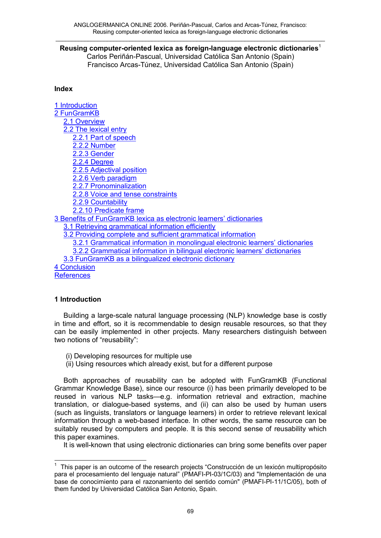### $\_$  . The contribution of the contribution of the contribution of the contribution of the contribution of the contribution of the contribution of the contribution of the contribution of the contribution of the contributio **Reusing computer-oriented lexica as foreign-language electronic dictionaries**<sup>1</sup>

Carlos Periñán-Pascual, Universidad Católica San Antonio (Spain) Francisco Arcas-Túnez, Universidad Católica San Antonio (Spain)

### **Index**

1 Introduction 2 FunGramKB 2.1 Overview 2.2 The lexical entry 2.2.1 Part of speech 2.2.2 Number 2.2.3 Gender 2.2.4 Degree 2.2.5 Adjectival position 2.2.6 Verb paradigm 2.2.7 Pronominalization 2.2.8 Voice and tense constraints 2.2.9 Countability 2.2.10 Predicate frame 3 Benefits of FunGramKB lexica as electronic learners' dictionaries 3.1 Retrieving grammatical information efficiently 3.2 Providing complete and sufficient grammatical information 3.2.1 Grammatical information in monolingual electronic learners' dictionaries 3.2.2 Grammatical information in bilingual electronic learners' dictionaries 3.3 FunGramKB as a bilingualized electronic dictionary 4 Conclusion **References** 

## **1 Introduction**

Building a large-scale natural language processing (NLP) knowledge base is costly in time and effort, so it is recommendable to design reusable resources, so that they can be easily implemented in other projects. Many researchers distinguish between two notions of "reusability":

- (i) Developing resources for multiple use
- (ii) Using resources which already exist, but for a different purpose

Both approaches of reusability can be adopted with FunGramKB (Functional Grammar Knowledge Base), since our resource (i) has been primarily developed to be reused in various NLP tasks—e.g. information retrieval and extraction, machine translation, or dialogue-based systems, and (ii) can also be used by human users (such as linguists, translators or language learners) in order to retrieve relevant lexical information through a web-based interface. In other words, the same resource can be suitably reused by computers and people. It is this second sense of reusability which this paper examines.

It is well-known that using electronic dictionaries can bring some benefits over paper

 $\frac{1}{1}$  This paper is an outcome of the research projects "Construcción de un lexicón multipropósito para el procesamiento del lenguaje natural" (PMAFI-PI-03/1C/03) and "Implementación de una base de conocimiento para el razonamiento del sentido común" (PMAFI-PI-11/1C/05), both of them funded by Universidad Católica San Antonio, Spain.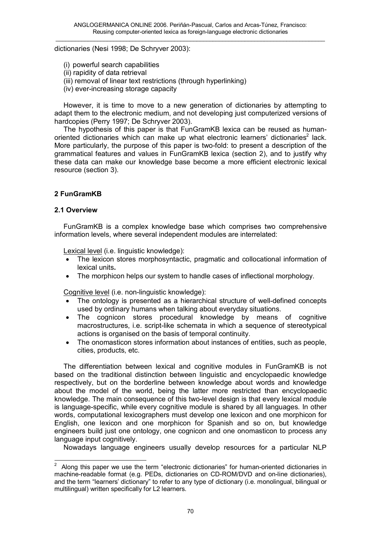dictionaries (Nesi 1998; De Schryver 2003):

- (i) powerful search capabilities
- (ii) rapidity of data retrieval
- (iii) removal of linear text restrictions (through hyperlinking)
- (iv) ever-increasing storage capacity

However, it is time to move to a new generation of dictionaries by attempting to adapt them to the electronic medium, and not developing just computerized versions of hardcopies (Perry 1997; De Schryver 2003).

The hypothesis of this paper is that FunGramKB lexica can be reused as humanoriented dictionaries which can make up what electronic learners' dictionaries<sup>2</sup> lack. More particularly, the purpose of this paper is two-fold: to present a description of the grammatical features and values in FunGramKB lexica (section 2), and to justify why these data can make our knowledge base become a more efficient electronic lexical resource (section 3).

# **2 FunGramKB**

### **2.1 Overview**

FunGramKB is a complex knowledge base which comprises two comprehensive information levels, where several independent modules are interrelated:

Lexical level (i.e. linguistic knowledge):

- · The lexicon stores morphosyntactic, pragmatic and collocational information of lexical units**.**
- · The morphicon helps our system to handle cases of inflectional morphology.

Cognitive level (i.e. non-linguistic knowledge):

- The ontology is presented as a hierarchical structure of well-defined concepts used by ordinary humans when talking about everyday situations.
- · The cognicon stores procedural knowledge by means of cognitive macrostructures, i.e. script-like schemata in which a sequence of stereotypical actions is organised on the basis of temporal continuity.
- · The onomasticon stores information about instances of entities, such as people, cities, products, etc.

The differentiation between lexical and cognitive modules in FunGramKB is not based on the traditional distinction between linguistic and encyclopaedic knowledge respectively, but on the borderline between knowledge about words and knowledge about the model of the world, being the latter more restricted than encyclopaedic knowledge. The main consequence of this two-level design is that every lexical module is language-specific, while every cognitive module is shared by all languages. In other words, computational lexicographers must develop one lexicon and one morphicon for English, one lexicon and one morphicon for Spanish and so on, but knowledge engineers build just one ontology, one cognicon and one onomasticon to process any language input cognitively.

Nowadays language engineers usually develop resources for a particular NLP

 $\frac{1}{2}$  Along this paper we use the term "electronic dictionaries" for human-oriented dictionaries in machine-readable format (e.g. PEDs, dictionaries on CD-ROM/DVD and on-line dictionaries), and the term "learners' dictionary" to refer to any type of dictionary (i.e. monolingual, bilingual or multilingual) written specifically for L2 learners.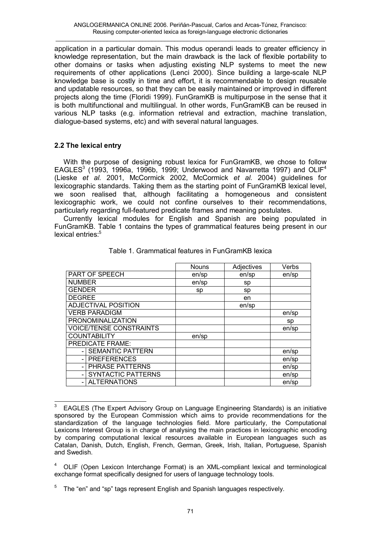application in a particular domain. This modus operandi leads to greater efficiency in knowledge representation, but the main drawback is the lack of flexible portability to other domains or tasks when adjusting existing NLP systems to meet the new requirements of other applications (Lenci 2000). Since building a large-scale NLP knowledge base is costly in time and effort, it is recommendable to design reusable and updatable resources, so that they can be easily maintained or improved in different projects along the time (Floridi 1999). FunGramKB is multipurpose in the sense that it is both multifunctional and multilingual. In other words, FunGramKB can be reused in various NLP tasks (e.g. information retrieval and extraction, machine translation, dialogue-based systems, etc) and with several natural languages.

# **2.2 The lexical entry**

With the purpose of designing robust lexica for FunGramKB, we chose to follow EAGLES $3$  (1993, 1996a, 1996b, 1999; Underwood and Navarretta 1997) and OLIF<sup>4</sup> (Lieske *et al.* 2001, McCormick 2002, McCormick *et al.* 2004) guidelines for lexicographic standards. Taking them as the starting point of FunGramKB lexical level, we soon realised that, although facilitating a homogeneous and consistent lexicographic work, we could not confine ourselves to their recommendations, particularly regarding full-featured predicate frames and meaning postulates.

Currently lexical modules for English and Spanish are being populated in FunGramKB. Table 1 contains the types of grammatical features being present in our lexical entries:<sup>5</sup>

|                                | <b>Nouns</b> | Adjectives | Verbs |
|--------------------------------|--------------|------------|-------|
| PART OF SPEECH                 | en/sp        | en/sp      | en/sp |
| <b>NUMBER</b>                  | en/sp        | sp         |       |
| <b>GENDER</b>                  | sp           | sp         |       |
| <b>DEGREE</b>                  |              | en         |       |
| <b>ADJECTIVAL POSITION</b>     |              | en/sp      |       |
| <b>VERB PARADIGM</b>           |              |            | en/sp |
| <b>PRONOMINALIZATION</b>       |              |            | sp    |
| <b>VOICE/TENSE CONSTRAINTS</b> |              |            | en/sp |
| <b>COUNTABILITY</b>            | en/sp        |            |       |
| <b>PREDICATE FRAME:</b>        |              |            |       |
| <b>SEMANTIC PATTERN</b>        |              |            | en/sp |
| <b>PREFERENCES</b>             |              |            | en/sp |
| PHRASE PATTERNS                |              |            | en/sp |
| <b>SYNTACTIC PATTERNS</b>      |              |            | en/sp |
| <b>ALTERNATIONS</b>            |              |            | en/sp |

## Table 1. Grammatical features in FunGramKB lexica

l <sup>3</sup> EAGLES (The Expert Advisory Group on Language Engineering Standards) is an initiative sponsored by the European Commission which aims to provide recommendations for the standardization of the language technologies field. More particularly, the Computational Lexicons Interest Group is in charge of analysing the main practices in lexicographic encoding by comparing computational lexical resources available in European languages such as Catalan, Danish, Dutch, English, French, German, Greek, Irish, Italian, Portuguese, Spanish and Swedish.

<sup>4</sup> OLIF (Open Lexicon Interchange Format) is an XML-compliant lexical and terminological exchange format specifically designed for users of language technology tools.

<sup>5</sup> The "en" and "sp" tags represent English and Spanish languages respectively.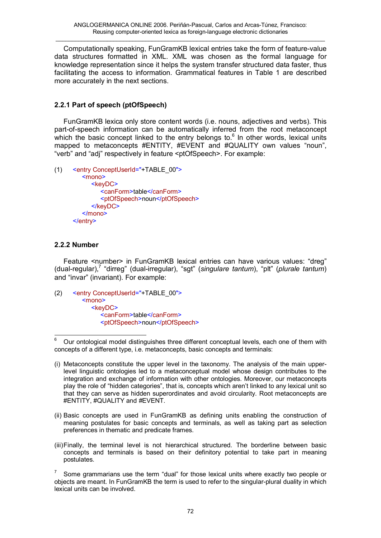Computationally speaking, FunGramKB lexical entries take the form of feature-value data structures formatted in XML. XML was chosen as the formal language for knowledge representation since it helps the system transfer structured data faster, thus facilitating the access to information. Grammatical features in Table 1 are described more accurately in the next sections.

# **2.2.1 Part of speech (ptOfSpeech)**

FunGramKB lexica only store content words (i.e. nouns, adjectives and verbs). This part-of-speech information can be automatically inferred from the root metaconcept which the basic concept linked to the entry belongs to. $6$  In other words, lexical units mapped to metaconcepts #ENTITY, #EVENT and #QUALITY own values "noun", "verb" and "adj" respectively in feature <ptOfSpeech>. For example:

```
(1) <entry ConceptUserId="+TABLE_00">
        <mono>
           <keyDC>
               <canForm>table</canForm> 
               <ptOfSpeech>noun</ptOfSpeech> 
            </keyDC> 
         </mono>
      </entry>
```
## **2.2.2 Number**

Feature <number> in FunGramKB lexical entries can have various values: "dreg" (dual-regular),<sup>7</sup> "dirreg" (dual-irregular), "sgt" (singulare *tantum*), "plt" (plurale *tantum*) and "invar" (invariant). For example:

(2) <entry ConceptUserId="+TABLE\_00"> <mono> <keyDC> <canForm>table</canForm> <ptOfSpeech>noun</ptOfSpeech>

- (ii) Basic concepts are used in FunGramKB as defining units enabling the construction of meaning postulates for basic concepts and terminals, as well as taking part as selection preferences in thematic and predicate frames.
- (iii)Finally, the terminal level is not hierarchical structured. The borderline between basic concepts and terminals is based on their definitory potential to take part in meaning postulates.

Some grammarians use the term "dual" for those lexical units where exactly two people or objects are meant. In FunGramKB the term is used to refer to the singular-plural duality in which lexical units can be involved.

<sup>6</sup> <sup>6</sup> Our ontological model distinguishes three different conceptual levels, each one of them with concepts of a different type, i.e. metaconcepts, basic concepts and terminals:

<sup>(</sup>i) Metaconcepts constitute the upper level in the taxonomy. The analysis of the main upperlevel linguistic ontologies led to a metaconceptual model whose design contributes to the integration and exchange of information with other ontologies. Moreover, our metaconcepts play the role of "hidden categories", that is, concepts which aren't linked to any lexical unit so that they can serve as hidden superordinates and avoid circularity. Root metaconcepts are #ENTITY, #QUALITY and *#*EVENT.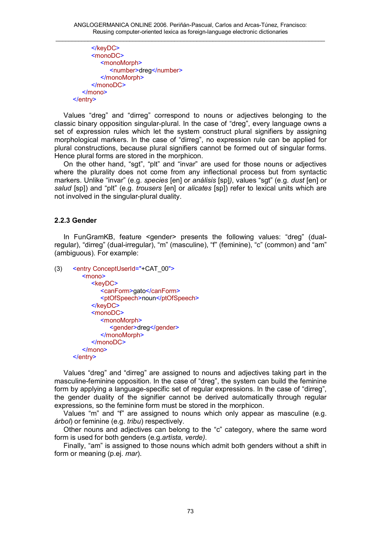</keyDC> <monoDC> <monoMorph> <number>dreg</number> </monoMorph> </monoDC> </mono> </entry>

Values "dreg" and "dirreg" correspond to nouns or adjectives belonging to the classic binary opposition singular-plural. In the case of "dreg", every language owns a set of expression rules which let the system construct plural signifiers by assigning morphological markers. In the case of "dirreg", no expression rule can be applied for plural constructions, because plural signifiers cannot be formed out of singular forms. Hence plural forms are stored in the morphicon.

On the other hand, "sgt", "plt" and "invar" are used for those nouns or adjectives where the plurality does not come from any inflectional process but from syntactic markers. Unlike "invar" (e.g. *species* [en] or *análisis* [sp]*)*, values "sgt" (e.g. *dust* [en] or *salud* [sp]) and "plt" (e.g. *trousers* [en] or *alicates* [sp]) refer to lexical units which are not involved in the singular-plural duality.

# **2.2.3 Gender**

In FunGramKB, feature <gender> presents the following values: "dreg" (dualregular), "dirreg" (dual-irregular), "m" (masculine), "f" (feminine), "c" (common) and "am" (ambiguous). For example:

```
(3) <entry ConceptUserId="+CAT_00">
        <mono>
           <keyDC>
              <canForm>gato</canForm> 
              <ptOfSpeech>noun</ptOfSpeech>
           </keyDC>
           <monoDC>
              <monoMorph>
                  <gender>dreg</gender> 
               </monoMorph> 
            </monoDC>
         </mono>
      </entry>
```
Values "dreg" and "dirreg" are assigned to nouns and adjectives taking part in the masculine-feminine opposition. In the case of "dreg", the system can build the feminine form by applying a language-specific set of regular expressions. In the case of "dirreg", the gender duality of the signifier cannot be derived automatically through regular expressions, so the feminine form must be stored in the morphicon.

Values "m" and "f" are assigned to nouns which only appear as masculine (e.g. *árbol*) or feminine (e.g. *tribu*) respectively.

Other nouns and adjectives can belong to the "c" category, where the same word form is used for both genders (e.g.*artista, verde)*.

Finally, "am" is assigned to those nouns which admit both genders without a shift in form or meaning (p.ej. *mar*).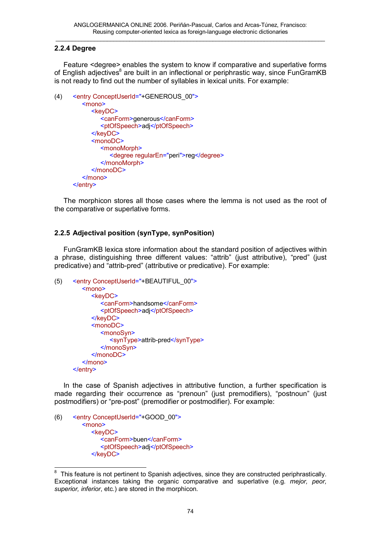## **2.2.4 Degree**

Feature <degree> enables the system to know if comparative and superlative forms of English adjectives<sup>8</sup> are built in an inflectional or periphrastic way, since FunGramKB is not ready to find out the number of syllables in lexical units. For example:

```
(4) <entry ConceptUserId="+GENEROUS_00">
        <mono>
           <keyDC>
               <canForm>generous</canForm> 
               <ptOfSpeech>adj</ptOfSpeech> 
           </keyDC>
           <monoDC>
              <monoMorph>
                  <degree regularEn="peri">reg</degree> 
               </monoMorph>
            </monoDC>
         </mono>
      </entry>
```
The morphicon stores all those cases where the lemma is not used as the root of the comparative or superlative forms.

# **2.2.5 Adjectival position (synType, synPosition)**

FunGramKB lexica store information about the standard position of adjectives within a phrase, distinguishing three different values: "attrib" (just attributive), "pred" (just predicative) and "attrib-pred" (attributive or predicative). For example:

```
(5) <entry ConceptUserId="+BEAUTIFUL_00">
        <mono>
           <keyDC>
               <canForm>handsome</canForm> 
               <ptOfSpeech>adj</ptOfSpeech> 
            </keyDC>
           <monoDC>
              <monoSyn>
                <synType>attrib-pred</synType> 
              </monoSyn>
           </monoDC>
        </mono>
     </entry>
```
In the case of Spanish adjectives in attributive function, a further specification is made regarding their occurrence as "prenoun" (just premodifiers), "postnoun" (just postmodifiers) or "pre-post" (premodifier or postmodifier). For example:

```
(6) <entry ConceptUserId="+GOOD_00">
        <mono>
          <keyDC>
             <canForm>buen</canForm> 
             <ptOfSpeech>adj</ptOfSpeech> 
          </keyDC>
```
<sup>&</sup>lt;u>econdon</u><br>8 This feature is not pertinent to Spanish adjectives, since they are constructed periphrastically. Exceptional instances taking the organic comparative and superlative (e.g. *mejor, peor, superior, inferior*, etc.) are stored in the morphicon.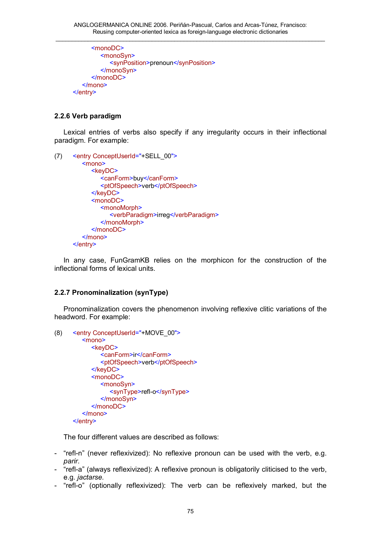```
<monoDC>
        <monoSyn>
           <synPosition>prenoun</synPosition> 
        </monoSyn>
     </monoDC>
  </mono>
</entry>
```
# **2.2.6 Verb paradigm**

Lexical entries of verbs also specify if any irregularity occurs in their inflectional paradigm. For example:

```
(7) <entry ConceptUserId="+SELL_00">
        <mono>
           <keyDC>
               <canForm>buy</canForm> 
               <ptOfSpeech>verb</ptOfSpeech> 
            </keyDC>
           <monoDC> 
              <monoMorph>
                  <verbParadigm>irreg</verbParadigm> 
              </monoMorph>
           </monoDC>
        </mono>
     </entry>
```
In any case, FunGramKB relies on the morphicon for the construction of the inflectional forms of lexical units.

## **2.2.7 Pronominalization (synType)**

Pronominalization covers the phenomenon involving reflexive clitic variations of the headword. For example:

```
(8) <entry ConceptUserId="+MOVE_00">
        <mono>
           <keyDC>
              <canForm>ir</canForm>
              <ptOfSpeech>verb</ptOfSpeech> 
            </keyDC>
           <monoDC>
              <monoSyn>
                <synType>refl-o</synType> 
              </monoSyn>
           </monoDC>
        </mono>
      </entry>
```
The four different values are described as follows:

- "refl-n" (never reflexivized): No reflexive pronoun can be used with the verb, e.g. *parir*.
- "refl-a" (always reflexivized): A reflexive pronoun is obligatorily cliticised to the verb, e.g. *jactarse*.
- "refl-o" (optionally reflexivized): The verb can be reflexively marked, but the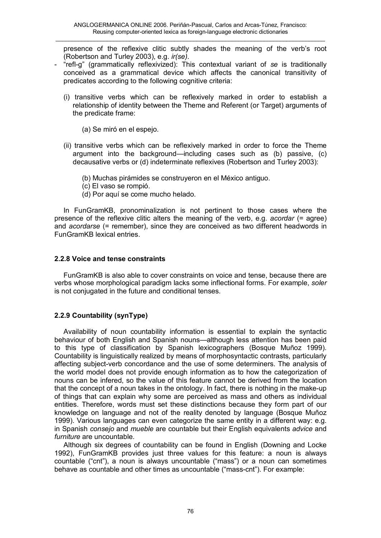presence of the reflexive clitic subtly shades the meaning of the verb's root (Robertson and Turley 2003), e.g. *ir(se)*.

- "refl-g" (grammatically reflexivized): This contextual variant of *se* is traditionally conceived as a grammatical device which affects the canonical transitivity of predicates according to the following cognitive criteria:
	- (i) transitive verbs which can be reflexively marked in order to establish a relationship of identity between the Theme and Referent (or Target) arguments of the predicate frame:
		- (a) Se miró en el espejo.
	- (ii) transitive verbs which can be reflexively marked in order to force the Theme argument into the background—including cases such as (b) passive, (c) decausative verbs or (d) indeterminate reflexives (Robertson and Turley 2003):
		- (b) Muchas pirámides se construyeron en el México antiguo.
		- (c) El vaso se rompió.
		- (d) Por aquí se come mucho helado.

In FunGramKB, pronominalization is not pertinent to those cases where the presence of the reflexive clitic alters the meaning of the verb, e.g. *acordar* (= agree) and *acordarse* (= remember), since they are conceived as two different headwords in FunGramKB lexical entries.

## **2.2.8 Voice and tense constraints**

FunGramKB is also able to cover constraints on voice and tense, because there are verbs whose morphological paradigm lacks some inflectional forms. For example, *soler* is not conjugated in the future and conditional tenses.

## **2.2.9 Countability (synType)**

Availability of noun countability information is essential to explain the syntactic behaviour of both English and Spanish nouns—although less attention has been paid to this type of classification by Spanish lexicographers (Bosque Muñoz 1999). Countability is linguistically realized by means of morphosyntactic contrasts, particularly affecting subject-verb concordance and the use of some determiners. The analysis of the world model does not provide enough information as to how the categorization of nouns can be infered, so the value of this feature cannot be derived from the location that the concept of a noun takes in the ontology. In fact, there is nothing in the make-up of things that can explain why some are perceived as mass and others as individual entities. Therefore, words must set these distinctions because they form part of our knowledge on language and not of the reality denoted by language (Bosque Muñoz 1999). Various languages can even categorize the same entity in a different way: e.g. in Spanish *consejo* and *mueble* are countable but their English equivalents *advice* and *furniture* are uncountable.

Although six degrees of countability can be found in English (Downing and Locke 1992), FunGramKB provides just three values for this feature: a noun is always countable ("cnt"), a noun is always uncountable ("mass") or a noun can sometimes behave as countable and other times as uncountable ("mass-cnt"). For example: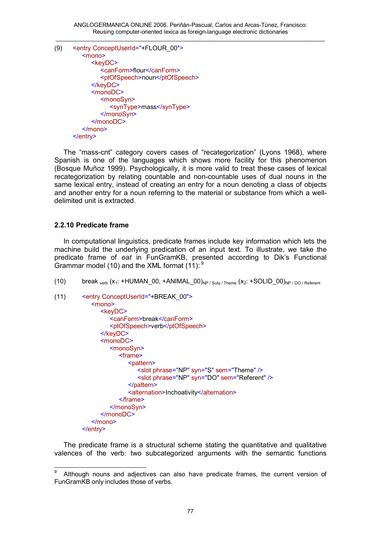(9) <entry ConceptUserId="+FLOUR\_00"> <mono> <keyDC> <canForm>flour</canForm> <ptOfSpeech>noun</ptOfSpeech> </keyDC> <monoDC> <monoSyn> <synType>mass</synType> </monoSyn> </monoDC> </mono> </entry>

The "mass-cnt" category covers cases of "recategorization" (Lyons 1968), where Spanish is one of the languages which shows more facility for this phenomenon (Bosque Muñoz 1999). Psychologically, it is more valid to treat these cases of lexical recategorization by relating countable and non-countable uses of dual nouns in the same lexical entry, instead of creating an entry for a noun denoting a class of objects and another entry for a noun referring to the material or substance from which a welldelimited unit is extracted.

# **2.2.10 Predicate frame**

In computational linguistics, predicate frames include key information which lets the machine build the underlying predication of an input text. To illustrate, we take the predicate frame of *eat* in FunGramKB, presented according to Dik's Functional Grammar model (10) and the XML format (11):  $9$ 

(10) break  $_{verb}$  ( $x_1$ : +HUMAN\_00, +ANIMAL\_00)<sub>NP / Subj / Theme</sub> ( $x_2$ : +SOLID\_00)<sub>NP</sub> / DO / Referent

```
(11) <entry ConceptUserId="+BREAK_00">
           <mono>
              <keyDC>
                 <canForm>break</canForm> 
                 <ptOfSpeech>verb</ptOfSpeech>
              </keyDC>
              <monoDC>
                 <monoSyn>
                    <frame>
                       <pattern>
                          <slot phrase="NP" syn="S" sem="Theme" /> 
                          <slot phrase="NP" syn="DO" sem="Referent" /> 
                       </pattern>
                       <alternation>Inchoativity</alternation>
                    </frame>
                 </monoSyn>
              </monoDC>
           </mono>
        </entry>
```
The predicate frame is a structural scheme stating the quantitative and qualitative valences of the verb: two subcategorized arguments with the semantic functions

l 9 Although nouns and adjectives can also have predicate frames, the current version of FunGramKB only includes those of verbs.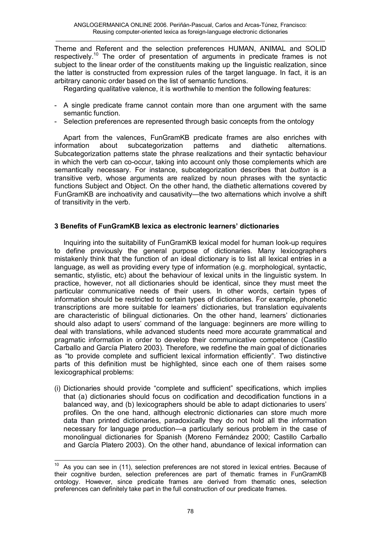Theme and Referent and the selection preferences HUMAN, ANIMAL and SOLID respectively.<sup>10</sup> The order of presentation of arguments in predicate frames is not subject to the linear order of the constituents making up the linguistic realization, since the latter is constructed from expression rules of the target language. In fact, it is an arbitrary canonic order based on the list of semantic functions.

Regarding qualitative valence, it is worthwhile to mention the following features:

- A single predicate frame cannot contain more than one argument with the same semantic function.
- Selection preferences are represented through basic concepts from the ontology

Apart from the valences, FunGramKB predicate frames are also enriches with information about subcategorization patterns and diathetic alternations. Subcategorization patterns state the phrase realizations and their syntactic behaviour in which the verb can co-occur, taking into account only those complements which are semantically necessary. For instance, subcategorization describes that *button* is a transitive verb, whose arguments are realized by noun phrases with the syntactic functions Subject and Object. On the other hand, the diathetic alternations covered by FunGramKB are inchoativity and causativity—the two alternations which involve a shift of transitivity in the verb.

# **3 Benefits of FunGramKB lexica as electronic learners' dictionaries**

Inquiring into the suitability of FunGramKB lexical model for human look-up requires to define previously the general purpose of dictionaries. Many lexicographers mistakenly think that the function of an ideal dictionary is to list all lexical entries in a language, as well as providing every type of information (e.g. morphological, syntactic, semantic, stylistic, etc) about the behaviour of lexical units in the linguistic system. In practice, however, not all dictionaries should be identical, since they must meet the particular communicative needs of their users. In other words, certain types of information should be restricted to certain types of dictionaries. For example, phonetic transcriptions are more suitable for learners' dictionaries, but translation equivalents are characteristic of bilingual dictionaries. On the other hand, learners' dictionaries should also adapt to users' command of the language: beginners are more willing to deal with translations, while advanced students need more accurate grammatical and pragmatic information in order to develop their communicative competence (Castillo Carballo and García Platero 2003). Therefore, we redefine the main goal of dictionaries as "to provide complete and sufficient lexical information efficiently". Two distinctive parts of this definition must be highlighted, since each one of them raises some lexicographical problems:

(i) Dictionaries should provide "complete and sufficient" specifications, which implies that (a) dictionaries should focus on codification and decodification functions in a balanced way, and (b) lexicographers should be able to adapt dictionaries to users' profiles. On the one hand, although electronic dictionaries can store much more data than printed dictionaries, paradoxically they do not hold all the information necessary for language production—a particularly serious problem in the case of monolingual dictionaries for Spanish (Moreno Fernández 2000; Castillo Carballo and García Platero 2003). On the other hand, abundance of lexical information can

 $10\,$ As you can see in (11), selection preferences are not stored in lexical entries. Because of their cognitive burden, selection preferences are part of thematic frames in FunGramKB ontology. However, since predicate frames are derived from thematic ones, selection preferences can definitely take part in the full construction of our predicate frames.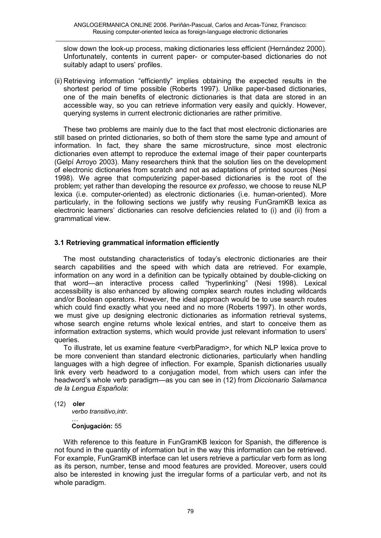slow down the look-up process, making dictionaries less efficient (Hernández 2000). Unfortunately, contents in current paper- or computer-based dictionaries do not suitably adapt to users' profiles.

(ii) Retrieving information "efficiently" implies obtaining the expected results in the shortest period of time possible (Roberts 1997). Unlike paper-based dictionaries, one of the main benefits of electronic dictionaries is that data are stored in an accessible way, so you can retrieve information very easily and quickly. However, querying systems in current electronic dictionaries are rather primitive.

These two problems are mainly due to the fact that most electronic dictionaries are still based on printed dictionaries, so both of them store the same type and amount of information. In fact, they share the same microstructure, since most electronic dictionaries even attempt to reproduce the external image of their paper counterparts (Gelpí Arroyo 2003). Many researchers think that the solution lies on the development of electronic dictionaries from scratch and not as adaptations of printed sources (Nesi 1998). We agree that computerizing paper-based dictionaries is the root of the problem; yet rather than developing the resource *ex professo*, we choose to reuse NLP lexica (i.e. computer-oriented) as electronic dictionaries (i.e. human-oriented). More particularly, in the following sections we justify why reusing FunGramKB lexica as electronic learners' dictionaries can resolve deficiencies related to (i) and (ii) from a grammatical view.

# **3.1 Retrieving grammatical information efficiently**

The most outstanding characteristics of today's electronic dictionaries are their search capabilities and the speed with which data are retrieved. For example, information on any word in a definition can be typically obtained by double-clicking on that word—an interactive process called "hyperlinking" (Nesi 1998). Lexical accessibility is also enhanced by allowing complex search routes including wildcards and/or Boolean operators. However, the ideal approach would be to use search routes which could find exactly what you need and no more (Roberts 1997). In other words, we must give up designing electronic dictionaries as information retrieval systems, whose search engine returns whole lexical entries, and start to conceive them as information extraction systems, which would provide just relevant information to users' queries.

To illustrate, let us examine feature <verbParadigm>, for which NLP lexica prove to be more convenient than standard electronic dictionaries, particularly when handling languages with a high degree of inflection. For example, Spanish dictionaries usually link every verb headword to a conjugation model, from which users can infer the headword's whole verb paradigm—as you can see in (12) from *Diccionario Salamanca de la Lengua Española*:

(12) **oler** 

*verbo transitivo,intr.*

#### … **Conjugación:** 55

With reference to this feature in FunGramKB lexicon for Spanish, the difference is not found in the quantity of information but in the way this information can be retrieved. For example, FunGramKB interface can let users retrieve a particular verb form as long as its person, number, tense and mood features are provided. Moreover, users could also be interested in knowing just the irregular forms of a particular verb, and not its whole paradigm.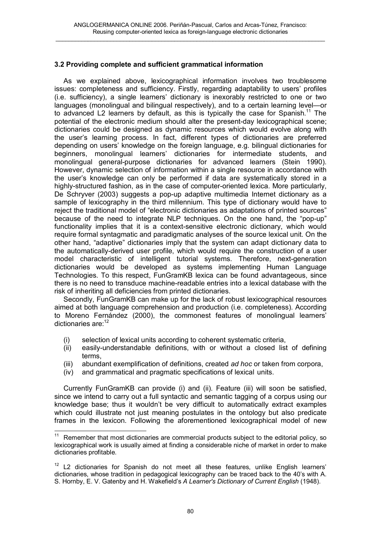# **3.2 Providing complete and sufficient grammatical information**

As we explained above, lexicographical information involves two troublesome issues: completeness and sufficiency. Firstly, regarding adaptability to users' profiles (i.e. sufficiency), a single learners' dictionary is inexorably restricted to one or two languages (monolingual and bilingual respectively), and to a certain learning level—or to advanced L2 learners by default, as this is typically the case for Spanish.<sup>11</sup> The potential of the electronic medium should alter the present-day lexicographical scene; dictionaries could be designed as dynamic resources which would evolve along with the user's learning process. In fact, different types of dictionaries are preferred depending on users' knowledge on the foreign language, e.g. bilingual dictionaries for beginners, monolingual learners' dictionaries for intermediate students, and monolingual general-purpose dictionaries for advanced learners (Stein 1990). However, dynamic selection of information within a single resource in accordance with the user's knowledge can only be performed if data are systematically stored in a highly-structured fashion, as in the case of computer-oriented lexica. More particularly, De Schryver (2003) suggests a pop-up adaptive multimedia Internet dictionary as a sample of lexicography in the third millennium. This type of dictionary would have to reject the traditional model of "electronic dictionaries as adaptations of printed sources" because of the need to integrate NLP techniques. On the one hand, the "pop-up" functionality implies that it is a context-sensitive electronic dictionary, which would require formal syntagmatic and paradigmatic analyses of the source lexical unit. On the other hand, "adaptive" dictionaries imply that the system can adapt dictionary data to the automatically-derived user profile, which would require the construction of a user model characteristic of intelligent tutorial systems. Therefore, next-generation dictionaries would be developed as systems implementing Human Language Technologies. To this respect, FunGramKB lexica can be found advantageous, since there is no need to transduce machine-readable entries into a lexical database with the risk of inheriting all deficiencies from printed dictionaries.

Secondly, FunGramKB can make up for the lack of robust lexicographical resources aimed at both language comprehension and production (i.e. completeness). According to Moreno Fernández (2000), the commonest features of monolingual learners' dictionaries are:<sup>12</sup>

- (i) selection of lexical units according to coherent systematic criteria,
- (ii) easily-understandable definitions, with or without a closed list of defining terms,
- (iii) abundant exemplification of definitions, created *ad hoc* or taken from corpora,
- (iv) and grammatical and pragmatic specifications of lexical units.

l

Currently FunGramKB can provide (i) and (ii). Feature (iii) will soon be satisfied, since we intend to carry out a full syntactic and semantic tagging of a corpus using our knowledge base; thus it wouldn't be very difficult to automatically extract examples which could illustrate not just meaning postulates in the ontology but also predicate frames in the lexicon. Following the aforementioned lexicographical model of new

 $11$  Remember that most dictionaries are commercial products subject to the editorial policy, so lexicographical work is usually aimed at finding a considerable niche of market in order to make dictionaries profitable.

 $12$  L2 dictionaries for Spanish do not meet all these features, unlike English learners' dictionaries, whose tradition in pedagogical lexicography can be traced back to the 40's with A. S. Hornby, E. V. Gatenby and H. Wakefield's *A Learner's Dictionary of Current English* (1948).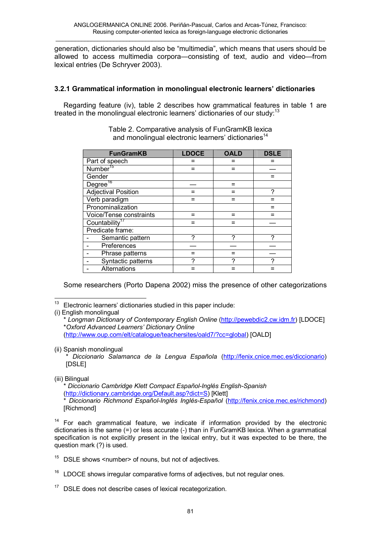generation, dictionaries should also be "multimedia", which means that users should be allowed to access multimedia corpora—consisting of text, audio and video—from lexical entries (De Schryver 2003).

# **3.2.1 Grammatical information in monolingual electronic learners' dictionaries**

Regarding feature (iv), table 2 describes how grammatical features in table 1 are treated in the monolingual electronic learners' dictionaries of our study:<sup>13</sup>

| <b>FunGramKB</b>           | <b>LDOCE</b> | <b>OALD</b> | <b>DSLE</b> |
|----------------------------|--------------|-------------|-------------|
| Part of speech             |              |             |             |
| Number <sup>15</sup>       |              |             |             |
| Gender                     |              |             |             |
| Degree <sup>16</sup>       |              |             |             |
| <b>Adjectival Position</b> |              | $=$         | 2           |
| Verb paradigm              |              |             |             |
| Pronominalization          |              |             |             |
| Voice/Tense constraints    |              | =           |             |
| Countability <sup>17</sup> |              |             |             |
| Predicate frame:           |              |             |             |
| Semantic pattern           | 2            | 2           | 7           |
| Preferences                |              |             |             |
| Phrase patterns            |              |             |             |
| Syntactic patterns         |              |             |             |
| Alternations               |              |             |             |

Table 2. Comparative analysis of FunGramKB lexica and monolingual electronic learners' dictionaries<sup>14</sup>

Some researchers (Porto Dapena 2002) miss the presence of other categorizations

(ii) Spanish monolingual

\* *Diccionario Salamanca de la Lengua Española* [\(http://fenix.cnice.mec.es/diccionario](http://fenix.cnice.mec.es/diccionario)) [DSLE]

(iii) Bilingual

\* *Diccionario Cambridge Klett Compact Español-Inglés English-Spanish* (<http://dictionary.cambridge.org/Default.asp?dict=S>) [Klett]

\* *Diccionario Richmond Español-Inglés Inglés-Español* (<http://fenix.cnice.mec.es/richmond>) [Richmond]

 $14$  For each grammatical feature, we indicate if information provided by the electronic dictionaries is the same (=) or less accurate (-) than in FunGramKB lexica. When a grammatical specification is not explicitly present in the lexical entry, but it was expected to be there, the question mark (?) is used.

 $15$  DSLE shows <number > of nouns, but not of adjectives.

 $16$  LDOCE shows irregular comparative forms of adjectives, but not regular ones.

DSLE does not describe cases of lexical recategorization.

 $13$ Electronic learners' dictionaries studied in this paper include:

<sup>(</sup>i) English monolingual

<sup>\*</sup> *Longman Dictionary of Contemporary English Online* ([http://pewebdic2.cw.idm.fr\)](http://pewebdic2.cw.idm.fr) [LDOCE] \**Oxford Advanced Learners' Dictionary Online* ([http://www.oup.com/elt/catalogue/teachersites/oald7/?cc=global\)](http://www.oup.com/elt/catalogue/teachersites/oald7/?cc=global) [OALD]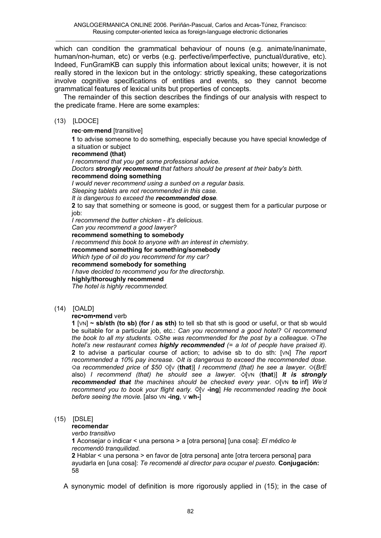which can condition the grammatical behaviour of nouns (e.g. animate/inanimate, human/non-human, etc) or verbs (e.g. perfective/imperfective, punctual/durative, etc). Indeed, FunGramKB can supply this information about lexical units; however, it is not really stored in the lexicon but in the ontology: strictly speaking, these categorizations involve cognitive specifications of entities and events, so they cannot become grammatical features of lexical units but properties of concepts.

The remainder of this section describes the findings of our analysis with respect to the predicate frame. Here are some examples:

### (13) [LDOCE]

**rec‧om‧mend** [transitive]

**1** to advise someone to do something, especially because you have special knowledge of a situation or subject

**recommend (that)**

*I recommend that you get some professional advice.* 

*Doctors strongly recommend that fathers should be present at their baby's birth.*  **recommend doing something**

*I would never recommend using a sunbed on a regular basis.* 

*Sleeping tablets are not recommended in this case.* 

*It is dangerous to exceed the recommended dose.* 

**2** to say that something or someone is good, or suggest them for a particular purpose or iob:

*I recommend the butter chicken - it's delicious.* 

*Can you recommend a good lawyer?* 

**recommend something to somebody** *I recommend this book to anyone with an interest in chemistry.*  **recommend something for something/somebody** *Which type of oil do you recommend for my car?*  **recommend somebody for something** *I have decided to recommend you for the directorship.*  **highly/thoroughly recommend** *The hotel is highly recommended.* 

(14) [OALD]

## **rec•om•mend** verb

**1** [VN] **~ sb/sth (to sb) (for / as sth)** to tell sb that sth is good or useful, or that sb would be suitable for a particular job, etc.: *Can you recommend a good hotel? I recommend the book to all my students. She was recommended for the post by a colleague. The hotel's new restaurant comes highly recommended (= a lot of people have praised it).* **2** to advise a particular course of action; to advise sb to do sth: [VN] *The report recommended a 10% pay increase. It is dangerous to exceed the recommended dose. a recommended price of \$50* [V (**that**)] *I recommend (that) he see a lawyer.* (*BrE* also) *I recommend (that) he should see a lawyer.* [VN (**that**)] *It is strongly recommended that the machines should be checked every year.* [VN **to** inf] *We'd recommend you to book your flight early.* [V **-ing**] *He recommended reading the book before seeing the movie.* [also VN **-ing**, V **wh-**]

## (15) [DSLE]

### **recomendar**

*verbo transitivo* 

**1** Aconsejar o indicar < una persona > a [otra persona] [una cosa]: *El médico le recomendó tranquilidad.*  **2** Hablar < una persona > en favor de [otra persona] ante [otra tercera persona] para ayudarla en [una cosa]: *Te recomendé al director para ocupar el puesto.* **Conjugación:**  58

A synonymic model of definition is more rigorously applied in (15); in the case of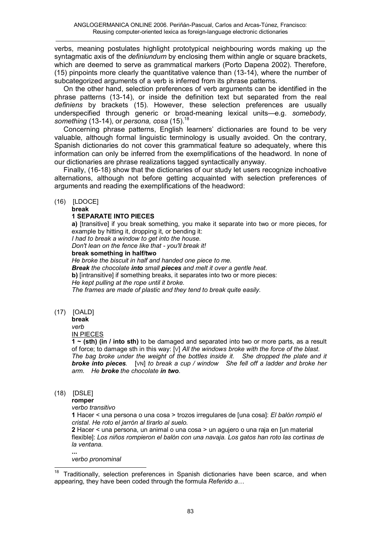verbs, meaning postulates highlight prototypical neighbouring words making up the syntagmatic axis of the *definiundum* by enclosing them within angle or square brackets, which are deemed to serve as grammatical markers (Porto Dapena 2002). Therefore, (15) pinpoints more clearly the quantitative valence than (13-14), where the number of subcategorized arguments of a verb is inferred from its phrase patterns.

On the other hand, selection preferences of verb arguments can be identified in the phrase patterns (13-14), or inside the definition text but separated from the real *definiens* by brackets (15). However, these selection preferences are usually underspecified through generic or broad-meaning lexical units—e.g. *somebody, something* (13-14), or *persona, cosa* (15).<sup>18</sup>

Concerning phrase patterns, English learners' dictionaries are found to be very valuable, although formal linguistic terminology is usually avoided. On the contrary, Spanish dictionaries do not cover this grammatical feature so adequately, where this information can only be inferred from the exemplifications of the headword. In none of our dictionaries are phrase realizations tagged syntactically anyway.

Finally, (16-18) show that the dictionaries of our study let users recognize inchoative alternations, although not before getting acquainted with selection preferences of arguments and reading the exemplifications of the headword:

### (16) [LDOCE]

#### **break 1 SEPARATE INTO PIECES**

**a)** [transitive] if you break something, you make it separate into two or more pieces, for example by hitting it, dropping it, or bending it:

*I had to break a window to get into the house.* 

*Don't lean on the fence like that - you'll break it!* 

**break something in half/two**

*He broke the biscuit in half and handed one piece to me. Break the chocolate into small pieces and melt it over a gentle heat.* 

**b)** [intransitive] if something breaks, it separates into two or more pieces: *He kept pulling at the rope until it broke.* 

*The frames are made of plastic and they tend to break quite easily.* 

(17) [OALD]

**break**

*verb*

### IN PIECES

**1 ~ (sth) (in / into sth)** to be damaged and separated into two or more parts, as a result of force; to damage sth in this way: [V] *All the windows broke with the force of the blast. The bag broke under the weight of the bottles inside it. She dropped the plate and it broke into pieces.* [VN] *to break a cup / window She fell off a ladder and broke her arm. He broke the chocolate in two.*

# (18) [DSLE]

**...** 

l

**romper** 

*verbo transitivo* 

**1** Hacer < una persona o una cosa > trozos irregulares de [una cosa]: *El balón rompió el cristal. He roto el jarrón al tirarlo al suelo.* 

**2** Hacer < una persona, un animal o una cosa > un agujero o una raja en [un material flexible]: *Los niños rompieron el balón con una navaja. Los gatos han roto las cortinas de la ventana.* 

*verbo pronominal* 

Traditionally, selection preferences in Spanish dictionaries have been scarce, and when appearing, they have been coded through the formula *Referido a*…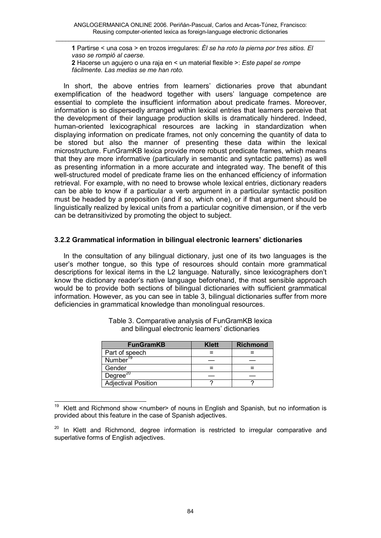**1** Partirse < una cosa > en trozos irregulares: *Él se ha roto la pierna por tres sitios. El vaso se rompió al caerse.* 

**2** Hacerse un agujero o una raja en < un material flexible >: *Este papel se rompe fácilmente. Las medias se me han roto.* 

In short, the above entries from learners' dictionaries prove that abundant exemplification of the headword together with users' language competence are essential to complete the insufficient information about predicate frames. Moreover, information is so dispersedly arranged within lexical entries that learners perceive that the development of their language production skills is dramatically hindered. Indeed, human-oriented lexicographical resources are lacking in standardization when displaying information on predicate frames, not only concerning the quantity of data to be stored but also the manner of presenting these data within the lexical microstructure. FunGramKB lexica provide more robust predicate frames, which means that they are more informative (particularly in semantic and syntactic patterns) as well as presenting information in a more accurate and integrated way. The benefit of this well-structured model of predicate frame lies on the enhanced efficiency of information retrieval. For example, with no need to browse whole lexical entries, dictionary readers can be able to know if a particular a verb argument in a particular syntactic position must be headed by a preposition (and if so, which one), or if that argument should be linguistically realized by lexical units from a particular cognitive dimension, or if the verb can be detransitivized by promoting the object to subject.

# **3.2.2 Grammatical information in bilingual electronic learners' dictionaries**

In the consultation of any bilingual dictionary, just one of its two languages is the user's mother tongue, so this type of resources should contain more grammatical descriptions for lexical items in the L2 language. Naturally, since lexicographers don't know the dictionary reader's native language beforehand, the most sensible approach would be to provide both sections of bilingual dictionaries with sufficient grammatical information. However, as you can see in table 3, bilingual dictionaries suffer from more deficiencies in grammatical knowledge than monolingual resources.

| <b>FunGramKB</b>           | <b>Klett</b> | <b>Richmond</b> |
|----------------------------|--------------|-----------------|
| Part of speech             |              |                 |
| Number <sup>19</sup>       |              |                 |
| Gender                     |              |                 |
| Degree <sup>20</sup>       |              |                 |
| <b>Adjectival Position</b> |              |                 |

Table 3. Comparative analysis of FunGramKB lexica and bilingual electronic learners' dictionaries

l Klett and Richmond show <number> of nouns in English and Spanish, but no information is provided about this feature in the case of Spanish adjectives.

<sup>&</sup>lt;sup>20</sup> In Klett and Richmond, degree information is restricted to irregular comparative and superlative forms of English adjectives.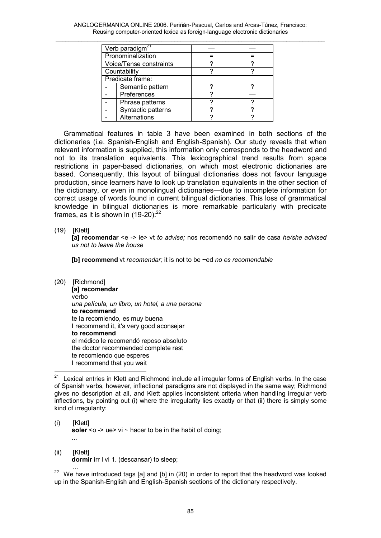ANGLOGERMANICA ONLINE 2006. Periñán-Pascual, Carlos and Arcas-Túnez, Francisco: Reusing computer-oriented lexica as foreign-language electronic dictionaries  $\_$  . The contribution of the contribution of the contribution of the contribution of the contribution of the contribution of the contribution of the contribution of the contribution of the contribution of the contributio

|                  | Verb paradigm <sup>27</sup> |  |  |
|------------------|-----------------------------|--|--|
|                  | Pronominalization           |  |  |
|                  | Voice/Tense constraints     |  |  |
|                  | Countability                |  |  |
| Predicate frame: |                             |  |  |
|                  | Semantic pattern            |  |  |
|                  | Preferences                 |  |  |
|                  | Phrase patterns             |  |  |
|                  | Syntactic patterns          |  |  |
|                  | Alternations                |  |  |

Grammatical features in table 3 have been examined in both sections of the dictionaries (i.e. Spanish-English and English-Spanish). Our study reveals that when relevant information is supplied, this information only corresponds to the headword and not to its translation equivalents. This lexicographical trend results from space restrictions in paper-based dictionaries, on which most electronic dictionaries are based. Consequently, this layout of bilingual dictionaries does not favour language production, since learners have to look up translation equivalents in the other section of the dictionary, or even in monolingual dictionaries—due to incomplete information for correct usage of words found in current bilingual dictionaries. This loss of grammatical knowledge in bilingual dictionaries is more remarkable particularly with predicate frames, as it is shown in  $(19-20)$ :<sup>22</sup>

(19) [Klett]

**[a] recomendar** <e -> ie> vt *to advise;* nos recomendó no salir de casa *he/she advised us not to leave the house* 

**[b] recommend** vt *recomendar;* it is not to be ~ed *no es recomendable*

(20) [Richmond]

**[a] recomendar**  verbo *una película, un libro, un hotel, a una persona*  **to recommend**  te la recomiendo, es muy buena I recommend it, it's very good aconsejar **to recommend**  el médico le recomendó reposo absoluto the doctor recommended complete rest te recomiendo que esperes I recommend that you wait

- (i) [Klett] **soler**  $\leq$   $\circ$   $\geq$  ue $\geq$  vi  $\sim$  hacer to be in the habit of doing; ...
- (ii) [Klett] **dormir** irr I vi 1. (descansar) to sleep;

 ...  $22$  We have introduced tags [a] and [b] in (20) in order to report that the headword was looked up in the Spanish-English and English-Spanish sections of the dictionary respectively.

 $21$ Lexical entries in Klett and Richmond include all irregular forms of English verbs. In the case of Spanish verbs, however, inflectional paradigms are not displayed in the same way; Richmond gives no description at all, and Klett applies inconsistent criteria when handling irregular verb inflections, by pointing out (i) where the irregularity lies exactly or that (ii) there is simply some kind of irregularity: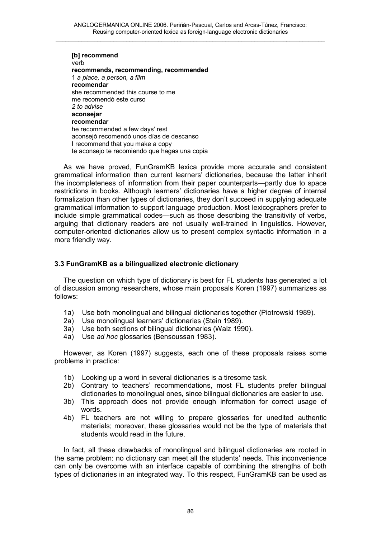**[b] recommend**  verb **recommends, recommending, recommended**  1 *a place, a person, a film*  **recomendar**  she recommended this course to me me recomendó este curso *2 to advise*  **aconsejar recomendar**  he recommended a few days' rest aconsejó recomendó unos días de descanso I recommend that you make a copy te aconsejo te recomiendo que hagas una copia

As we have proved, FunGramKB lexica provide more accurate and consistent grammatical information than current learners' dictionaries, because the latter inherit the incompleteness of information from their paper counterparts—partly due to space restrictions in books. Although learners' dictionaries have a higher degree of internal formalization than other types of dictionaries, they don't succeed in supplying adequate grammatical information to support language production. Most lexicographers prefer to include simple grammatical codes—such as those describing the transitivity of verbs, arguing that dictionary readers are not usually well-trained in linguistics. However, computer-oriented dictionaries allow us to present complex syntactic information in a more friendly way.

# **3.3 FunGramKB as a bilingualized electronic dictionary**

The question on which type of dictionary is best for FL students has generated a lot of discussion among researchers, whose main proposals Koren (1997) summarizes as follows:

- 1a) Use both monolingual and bilingual dictionaries together (Piotrowski 1989).
- 2a) Use monolingual learners' dictionaries (Stein 1989).
- 3a) Use both sections of bilingual dictionaries (Walz 1990).
- 4a) Use *ad hoc* glossaries (Bensoussan 1983).

However, as Koren (1997) suggests, each one of these proposals raises some problems in practice:

- 1b) Looking up a word in several dictionaries is a tiresome task.
- 2b) Contrary to teachers' recommendations, most FL students prefer bilingual dictionaries to monolingual ones, since bilingual dictionaries are easier to use.
- 3b) This approach does not provide enough information for correct usage of words.
- 4b) FL teachers are not willing to prepare glossaries for unedited authentic materials; moreover, these glossaries would not be the type of materials that students would read in the future.

In fact, all these drawbacks of monolingual and bilingual dictionaries are rooted in the same problem: no dictionary can meet all the students' needs. This inconvenience can only be overcome with an interface capable of combining the strengths of both types of dictionaries in an integrated way. To this respect, FunGramKB can be used as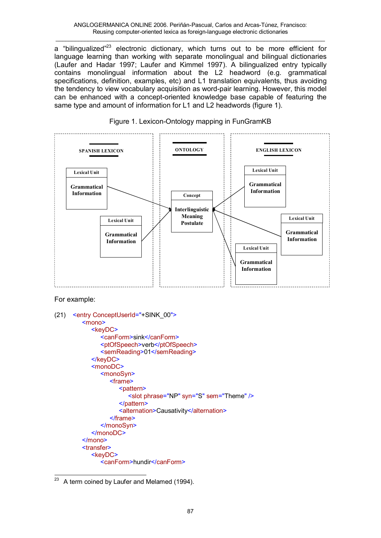a "bilingualized"<sup>23</sup> electronic dictionary, which turns out to be more efficient for language learning than working with separate monolingual and bilingual dictionaries (Laufer and Hadar 1997; Laufer and Kimmel 1997). A bilingualized entry typically contains monolingual information about the L2 headword (e.g. grammatical specifications, definition, examples, etc) and L1 translation equivalents, thus avoiding the tendency to view vocabulary acquisition as word-pair learning. However, this model can be enhanced with a concept-oriented knowledge base capable of featuring the same type and amount of information for L1 and L2 headwords (figure 1).



# Figure 1. Lexicon-Ontology mapping in FunGramKB

For example:

```
(21) <entry ConceptUserId="+SINK_00">
         <mono>
           <keyDC>
              <canForm>sink</canForm> 
               <ptOfSpeech>verb</ptOfSpeech>
               <semReading>01</semReading> 
           </keyDC>
           <monoDC>
              <monoSyn>
                 <frame>
                    <pattern>
                       <slot phrase="NP" syn="S" sem="Theme" /> 
                    </pattern>
                    <alternation>Causativity</alternation>
                 </frame>
              </monoSyn>
           </monoDC>
        </mono> 
        <transfer>
           <keyDC>
               <canForm>hundir</canForm>
```
l  $23$  A term coined by Laufer and Melamed (1994).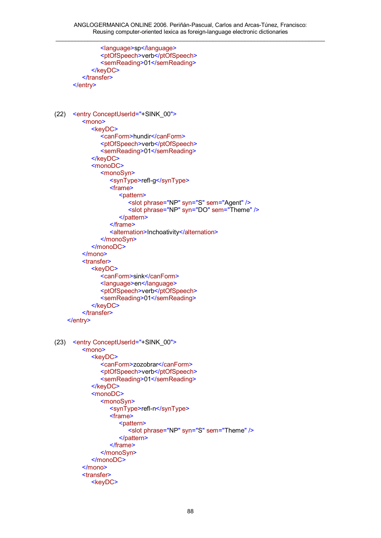```
 <language>sp</language> 
              <ptOfSpeech>verb</ptOfSpeech>
               <semReading>01</semReading> 
            </keyDC>
        </transfer>
      </entry>
(22) <entry ConceptUserId="+SINK_00">
         <mono>
           <keyDC>
              <canForm>hundir</canForm> 
               <ptOfSpeech>verb</ptOfSpeech>
              <semReading>01</semReading>
           </keyDC>
           <monoDC>
              <monoSyn> 
                 <synType>refl-g</synType> 
                 <frame>
                    <pattern>
                       <slot phrase="NP" syn="S" sem="Agent" /> 
                       <slot phrase="NP" syn="DO" sem="Theme" /> 
                    </pattern> 
                 </frame>
                 <alternation>Inchoativity</alternation>
              </monoSyn>
           </monoDC>
        </mono> 
        <transfer>
           <keyDC>
               <canForm>sink</canForm> 
               <language>en</language> 
               <ptOfSpeech>verb</ptOfSpeech> 
              <semReading>01</semReading>
            </keyDC>
        </transfer>
    </entry>
(23) <entry ConceptUserId="+SINK_00">
        <mono>
           <keyDC>
              <canForm>zozobrar</canForm> 
               <ptOfSpeech>verb</ptOfSpeech>
               <semReading>01</semReading> 
           </keyDC>
           <monoDC>
              <monoSyn> 
                 <synType>refl-n</synType> 
                 <frame>
                    <pattern>
                       <slot phrase="NP" syn="S" sem="Theme" /> 
                    </pattern>
                 </frame>
              </monoSyn>
           </monoDC>
        </mono> 
        <transfer>
           <keyDC>
```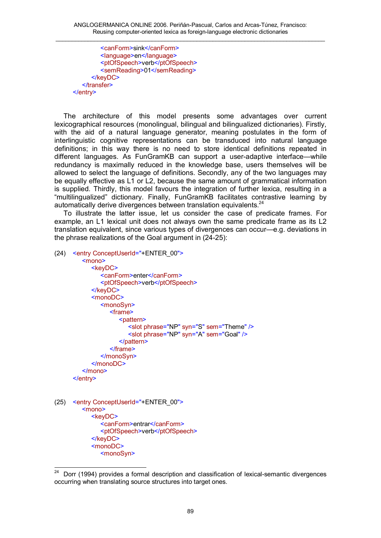<canForm>sink</canForm> <language>en</language> <ptOfSpeech>verb</ptOfSpeech> <semReading>01</semReading> </keyDC> </transfer> </entry>

The architecture of this model presents some advantages over current lexicographical resources (monolingual, bilingual and bilingualized dictionaries). Firstly, with the aid of a natural language generator, meaning postulates in the form of interlinguistic cognitive representations can be transduced into natural language definitions; in this way there is no need to store identical definitions repeated in different languages. As FunGramKB can support a user-adaptive interface—while redundancy is maximally reduced in the knowledge base, users themselves will be allowed to select the language of definitions. Secondly, any of the two languages may be equally effective as L1 or L2, because the same amount of grammatical information is supplied. Thirdly, this model favours the integration of further lexica, resulting in a "multilingualized" dictionary. Finally, FunGramKB facilitates contrastive learning by automatically derive divergences between translation equivalents. $^{24}$ 

To illustrate the latter issue, let us consider the case of predicate frames. For example, an L1 lexical unit does not always own the same predicate frame as its L2 translation equivalent, since various types of divergences can occur—e.g. deviations in the phrase realizations of the Goal argument in (24-25):

(24) <entry ConceptUserId="+ENTER\_00">

```
<mono>
     <keyDC>
        <canForm>enter</canForm>
        <ptOfSpeech>verb</ptOfSpeech> 
      </keyDC>
     <monoDC>
        <monoSyn>
           <frame>
              <pattern>
                 <slot phrase="NP" syn="S" sem="Theme" /> 
                 <slot phrase="NP" syn="A" sem="Goal" /> 
              </pattern>
           </frame>
        </monoSyn>
     </monoDC>
   </mono> 
</entry>
```
(25) <entry ConceptUserId="+ENTER\_00"> <mono> <keyDC> <canForm>entrar</canForm> <ptOfSpeech>verb</ptOfSpeech> </keyDC> <monoDC> <monoSyn>

 $\frac{1}{24}$  Dorr (1994) provides a formal description and classification of lexical-semantic divergences occurring when translating source structures into target ones.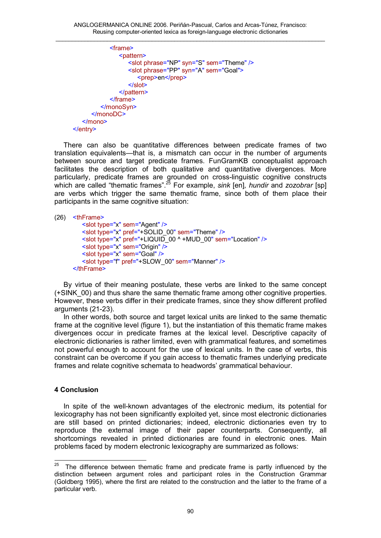```
<frame>
               <pattern>
                  <slot phrase="NP" syn="S" sem="Theme" /> 
                  <slot phrase="PP" syn="A" sem="Goal">
                     <prep>en</prep>
                   </slot>
               </pattern>
            </frame>
         </monoSyn>
      </monoDC>
   </mono> 
</entry>
```
There can also be quantitative differences between predicate frames of two translation equivalents—that is, a mismatch can occur in the number of arguments between source and target predicate frames. FunGramKB conceptualist approach facilitates the description of both qualitative and quantitative divergences. More particularly, predicate frames are grounded on cross-linguistic cognitive constructs which are called "thematic frames".<sup>25</sup> For example, *sink* [en]*, hundir* and *zozobrar* [sp] are verbs which trigger the same thematic frame, since both of them place their participants in the same cognitive situation:

```
(26) <thFrame>
         <slot type="x" sem="Agent" />
         <slot type="x" pref="+SOLID_00" sem="Theme" /> 
         \leslot type="x" pref="+LIQUID_00 ^ +MUD_00" sem="Location" />
         <slot type="x" sem="Origin" />
         <slot type="x" sem="Goal" /> 
         <slot type="f" pref="+SLOW_00" sem="Manner" />
     </thFrame>
```
By virtue of their meaning postulate, these verbs are linked to the same concept (+SINK\_00) and thus share the same thematic frame among other cognitive properties. However, these verbs differ in their predicate frames, since they show different profiled arguments (21-23).

In other words, both source and target lexical units are linked to the same thematic frame at the cognitive level (figure 1), but the instantiation of this thematic frame makes divergences occur in predicate frames at the lexical level. Descriptive capacity of electronic dictionaries is rather limited, even with grammatical features, and sometimes not powerful enough to account for the use of lexical units. In the case of verbs, this constraint can be overcome if you gain access to thematic frames underlying predicate frames and relate cognitive schemata to headwords' grammatical behaviour.

## **4 Conclusion**

In spite of the well-known advantages of the electronic medium, its potential for lexicography has not been significantly exploited yet, since most electronic dictionaries are still based on printed dictionaries; indeed, electronic dictionaries even try to reproduce the external image of their paper counterparts. Consequently, all shortcomings revealed in printed dictionaries are found in electronic ones. Main problems faced by modern electronic lexicography are summarized as follows:

 $\frac{1}{25}$  The difference between thematic frame and predicate frame is partly influenced by the distinction between argument roles and participant roles in the Construction Grammar (Goldberg 1995), where the first are related to the construction and the latter to the frame of a particular verb.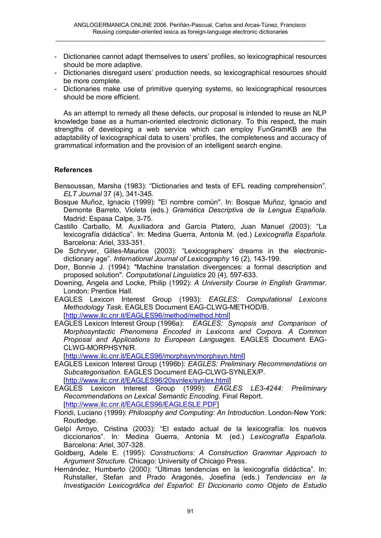- Dictionaries cannot adapt themselves to users' profiles, so lexicographical resources should be more adaptive.
- Dictionaries disregard users' production needs, so lexicographical resources should be more complete.
- Dictionaries make use of primitive querying systems, so lexicographical resources should be more efficient.

As an attempt to remedy all these defects, our proposal is intended to reuse an NLP knowledge base as a human-oriented electronic dictionary. To this respect, the main strengths of developing a web service which can employ FunGramKB are the adaptability of lexicographical data to users' profiles, the completeness and accuracy of grammatical information and the provision of an intelligent search engine.

## **References**

- Bensoussan, Marsha (1983): "Dictionaries and tests of EFL reading comprehension". *ELT Journal* 37 (4), 341-345.
- Bosque Muñoz, Ignacio (1999): "El nombre común". In: Bosque Muñoz, Ignacio and Demonte Barreto, Violeta (eds.) *Gramática Descriptiva de la Lengua Española*. Madrid: Espasa Calpe, 3-75.
- Castillo Carballo, M. Auxiliadora and García Platero, Juan Manuel (2003): "La lexicografía didáctica". In: Medina Guerra, Antonia M. (ed.) *Lexicografía Española*. Barcelona: Ariel, 333-351.
- De Schryver, Gilles-Maurice (2003): "Lexicographers' dreams in the electronicdictionary age". *International Journal of Lexicography* 16 (2), 143-199.
- Dorr, Bonnie J. (1994): "Machine translation divergences: a formal description and proposed solution". *Computational Linguistics* 20 (4), 597-633.
- Downing, Angela and Locke, Philip (1992): *A University Course in English Grammar*. London: Prentice Hall.
- EAGLES Lexicon Interest Group (1993): *EAGLES: Computational Lexicons Methodology Task*. EAGLES Document EAG-CLWG-METHOD/B. [\[http://www.ilc.cnr.it/EAGLES96/method/method.html\]](http://www.ilc.cnr.it/EAGLES96/method/method.html)
- EAGLES Lexicon Interest Group (1996a): *EAGLES: Synopsis and Comparison of Morphosyntactic Phenomena Encoded in Lexicons and Corpora. A Common Proposal and Applications to European Languages*. EAGLES Document EAG-CLWG-MORPHSYN/R.

[\[http://www.ilc.cnr.it/EAGLES96/morphsyn/morphsyn.html\]](http://www.ilc.cnr.it/EAGLES96/morphsyn/morphsyn.html)

- EAGLES Lexicon Interest Group (1996b): *EAGLES: Preliminary Recommendations on Subcategorisation*. EAGLES Document EAG-CLWG-SYNLEX/P. [\[http://www.ilc.cnr.it/EAGLES96/20synlex/synlex.html\]](http://www.ilc.cnr.it/EAGLES96/20synlex/synlex.html)
- EAGLES Lexicon Interest Group (1999): *EAGLES LE3-4244: Preliminary Recommendations on Lexical Semantic Encoding*. Final Report. [\[http://www.ilc.cnr.it/EAGLES96/EAGLESLE.PDF](http://www.ilc.cnr.it/EAGLES96/EAGLESLE.PDF)]
- Floridi, Luciano (1999): *Philosophy and Computing: An Introduction*. London-New York: Routledge.
- Gelpí Arroyo, Cristina (2003): "El estado actual de la lexicografía: los nuevos diccionarios". In: Medina Guerra, Antonia M. (ed.) *Lexicografía Española*. Barcelona: Ariel, 307-328.
- Goldberg, Adele E. (1995): *Constructions: A Construction Grammar Approach to Argument Structure*. Chicago: University of Chicago Press.
- Hernández, Humberto (2000): "Últimas tendencias en la lexicografía didáctica". In: Ruhstaller, Stefan and Prado Aragonés, Josefina (eds.) *Tendencias en la Investigación Lexicográfica del Español: El Diccionario como Objeto de Estudio*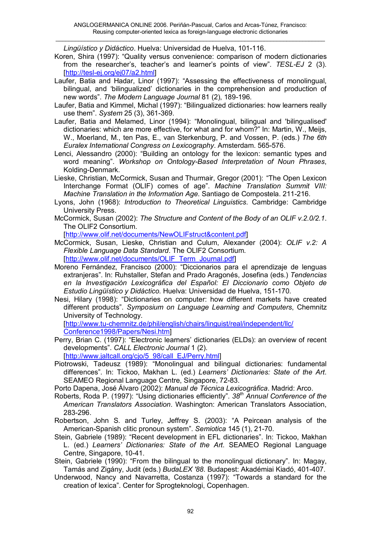*Lingüístico y Didáctico*. Huelva: Universidad de Huelva, 101-116.

- Koren, Shira (1997): "Quality versus convenience: comparison of modern dictionaries from the researcher's, teacher's and learner's points of view". *TESL-EJ* 2 (3). [\[http://tesl-ej.org/ej07/a2.html](http://tesl-ej.org/ej07/a2.html)]
- Laufer, Batia and Hadar, Linor (1997): "Assessing the effectiveness of monolingual, bilingual, and 'bilingualized' dictionaries in the comprehension and production of new words". *The Modern Language Journal* 81 (2), 189-196.
- Laufer, Batia and Kimmel, Michal (1997): "Bilingualized dictionaries: how learners really use them". *System* 25 (3), 361-369.
- Laufer, Batia and Melamed, Linor (1994): "Monolingual, bilingual and 'bilingualised' dictionaries: which are more effective, for what and for whom?" In: Martin, W., Meijs, W., Moerland, M., ten Pas, E., van Sterkenburg, P. and Vossen, P. (eds.) *The 6th Euralex International Congress on Lexicography*. Amsterdam. 565-576.
- Lenci, Alessandro (2000): "Building an ontology for the lexicon: semantic types and word meaning". *Workshop on Ontology-Based Interpretation of Noun Phrases*, Kolding-Denmark.
- Lieske, Christian, McCormick, Susan and Thurmair, Gregor (2001): "The Open Lexicon Interchange Format (OLIF) comes of age". *Machine Translation Summit VIII: Machine Translation in the Information Age*. Santiago de Compostela. 211-216.
- Lyons, John (1968): *Introduction to Theoretical Linguistics*. Cambridge: Cambridge University Press.
- McCormick, Susan (2002): *The Structure and Content of the Body of an OLIF v.2.0/2.1*. The OLIF2 Consortium.

[\[http://www.olif.net/documents/NewOLIFstruct&content.pdf\]](http://www.olif.net/documents/NewOLIFstruct&content.pdf)

- McCormick, Susan, Lieske, Christian and Culum, Alexander (2004): *OLIF v.2: A Flexible Language Data Standard*. The OLIF2 Consortium. [\[http://www.olif.net/documents/OLIF\\_Term\\_Journal.pdf](http://www.olif.net/documents/OLIF_Term_Journal.pdf)]
- Moreno Fernández, Francisco (2000): "Diccionarios para el aprendizaje de lenguas extranjeras". In: Ruhstaller, Stefan and Prado Aragonés, Josefina (eds.) *Tendencias en la Investigación Lexicográfica del Español: El Diccionario como Objeto de Estudio Lingüístico y Didáctico*. Huelva: Universidad de Huelva, 151-170.
- Nesi, Hilary (1998): "Dictionaries on computer: how different markets have created different products". *Symposium on Language Learning and Computers*, Chemnitz University of Technology.

[\[http://www.tu-chemnitz.de/phil/english/chairs/linguist/real/independent/llc/](http://www.tu-chemnitz.de/phil/english/chairs/linguist/real/independent/llc/) Conference1998/Papers/Nesi.htm]

Perry, Brian C. (1997): "Electronic learners' dictionaries (ELDs): an overview of recent developments". *CALL Electronic Journal* 1 (2).

[\[http://www.jaltcall.org/cjo/5\\_98/call\\_EJ/Perry.html\]](http://www.jaltcall.org/cjo/5_98/call_EJ/Perry.html)

- Piotrowski, Tadeusz (1989): "Monolingual and bilingual dictionaries: fundamental differences". In: Tickoo, Makhan L. (ed.) *Learners' Dictionaries: State of the Art*. SEAMEO Regional Language Centre, Singapore, 72-83.
- Porto Dapena, José Álvaro (2002): *Manual de Técnica Lexicográfica*. Madrid: Arco.
- Roberts, Roda P. (1997): "Using dictionaries efficiently". *38th Annual Conference of the American Translators Association*. Washington: American Translators Association, 283-296.
- Robertson, John S. and Turley, Jeffrey S. (2003): "A Peircean analysis of the American-Spanish clitic pronoun system". *Semiotica* 145 (1), 21-70.
- Stein, Gabriele (1989): "Recent development in EFL dictionaries". In: Tickoo, Makhan L. (ed.) *Learners' Dictionaries: State of the Art*. SEAMEO Regional Language Centre, Singapore, 10-41.
- Stein, Gabriele (1990): "From the bilingual to the monolingual dictionary". In: Magay, Tamás and Zigány, Judit (eds.) *BudaLEX '88*. Budapest: Akadémiai Kiadó, 401-407.
- Underwood, Nancy and Navarretta, Costanza (1997): "Towards a standard for the creation of lexica". Center for Sprogteknologi, Copenhagen.